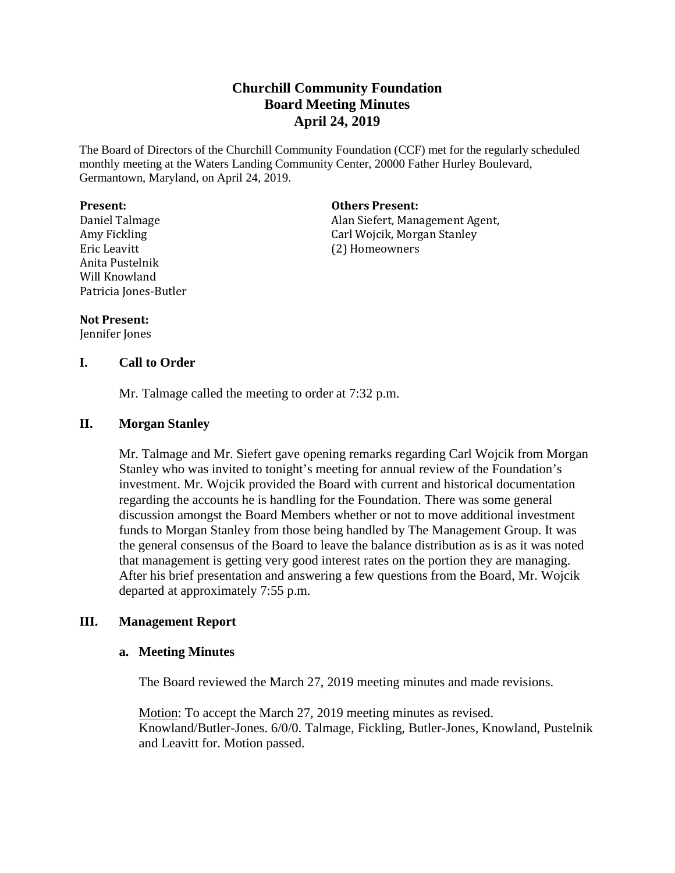# **Churchill Community Foundation Board Meeting Minutes April 24, 2019**

The Board of Directors of the Churchill Community Foundation (CCF) met for the regularly scheduled monthly meeting at the Waters Landing Community Center, 20000 Father Hurley Boulevard, Germantown, Maryland, on April 24, 2019.

#### **Present:**

Daniel Talmage Amy Fickling Eric Leavitt Anita Pustelnik Will Knowland Patricia Jones-Butler

### **Others Present:**

Alan Siefert, Management Agent, Carl Wojcik, Morgan Stanley (2) Homeowners

#### **Not Present:**

Jennifer Jones

## **I. Call to Order**

Mr. Talmage called the meeting to order at 7:32 p.m.

## **II. Morgan Stanley**

Mr. Talmage and Mr. Siefert gave opening remarks regarding Carl Wojcik from Morgan Stanley who was invited to tonight's meeting for annual review of the Foundation's investment. Mr. Wojcik provided the Board with current and historical documentation regarding the accounts he is handling for the Foundation. There was some general discussion amongst the Board Members whether or not to move additional investment funds to Morgan Stanley from those being handled by The Management Group. It was the general consensus of the Board to leave the balance distribution as is as it was noted that management is getting very good interest rates on the portion they are managing. After his brief presentation and answering a few questions from the Board, Mr. Wojcik departed at approximately 7:55 p.m.

## **III. Management Report**

## **a. Meeting Minutes**

The Board reviewed the March 27, 2019 meeting minutes and made revisions.

Motion: To accept the March 27, 2019 meeting minutes as revised. Knowland/Butler-Jones. 6/0/0. Talmage, Fickling, Butler-Jones, Knowland, Pustelnik and Leavitt for. Motion passed.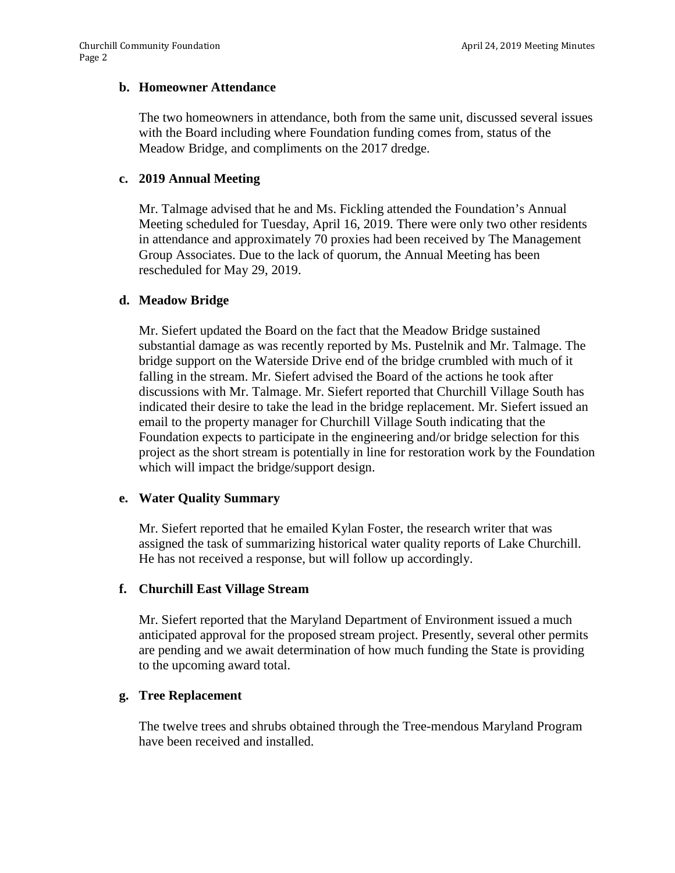#### **b. Homeowner Attendance**

The two homeowners in attendance, both from the same unit, discussed several issues with the Board including where Foundation funding comes from, status of the Meadow Bridge, and compliments on the 2017 dredge.

### **c. 2019 Annual Meeting**

Mr. Talmage advised that he and Ms. Fickling attended the Foundation's Annual Meeting scheduled for Tuesday, April 16, 2019. There were only two other residents in attendance and approximately 70 proxies had been received by The Management Group Associates. Due to the lack of quorum, the Annual Meeting has been rescheduled for May 29, 2019.

### **d. Meadow Bridge**

Mr. Siefert updated the Board on the fact that the Meadow Bridge sustained substantial damage as was recently reported by Ms. Pustelnik and Mr. Talmage. The bridge support on the Waterside Drive end of the bridge crumbled with much of it falling in the stream. Mr. Siefert advised the Board of the actions he took after discussions with Mr. Talmage. Mr. Siefert reported that Churchill Village South has indicated their desire to take the lead in the bridge replacement. Mr. Siefert issued an email to the property manager for Churchill Village South indicating that the Foundation expects to participate in the engineering and/or bridge selection for this project as the short stream is potentially in line for restoration work by the Foundation which will impact the bridge/support design.

## **e. Water Quality Summary**

Mr. Siefert reported that he emailed Kylan Foster, the research writer that was assigned the task of summarizing historical water quality reports of Lake Churchill. He has not received a response, but will follow up accordingly.

#### **f. Churchill East Village Stream**

Mr. Siefert reported that the Maryland Department of Environment issued a much anticipated approval for the proposed stream project. Presently, several other permits are pending and we await determination of how much funding the State is providing to the upcoming award total.

#### **g. Tree Replacement**

The twelve trees and shrubs obtained through the Tree-mendous Maryland Program have been received and installed.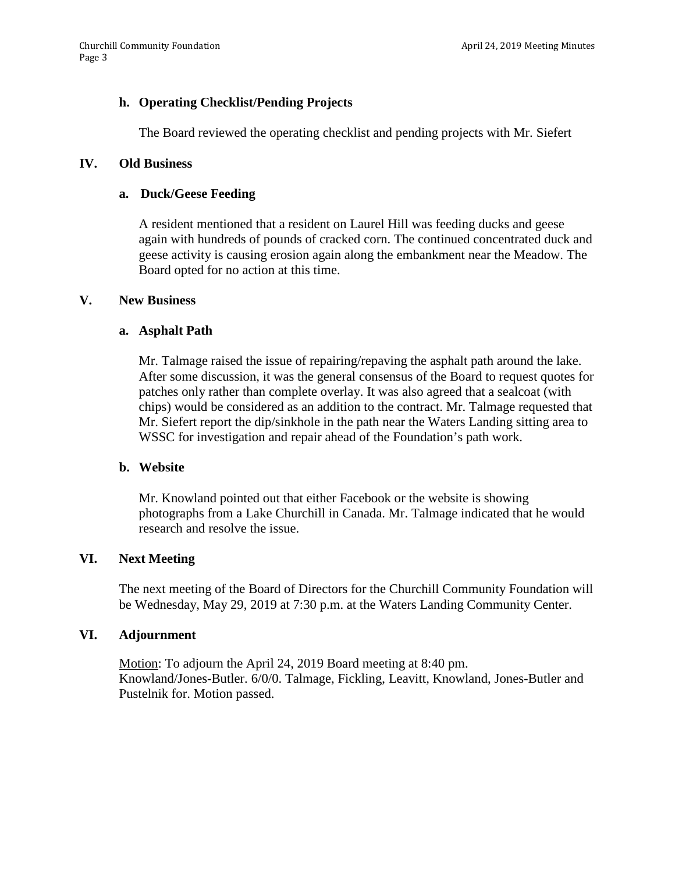## **h. Operating Checklist/Pending Projects**

The Board reviewed the operating checklist and pending projects with Mr. Siefert

### **IV. Old Business**

### **a. Duck/Geese Feeding**

A resident mentioned that a resident on Laurel Hill was feeding ducks and geese again with hundreds of pounds of cracked corn. The continued concentrated duck and geese activity is causing erosion again along the embankment near the Meadow. The Board opted for no action at this time.

### **V. New Business**

### **a. Asphalt Path**

Mr. Talmage raised the issue of repairing/repaving the asphalt path around the lake. After some discussion, it was the general consensus of the Board to request quotes for patches only rather than complete overlay. It was also agreed that a sealcoat (with chips) would be considered as an addition to the contract. Mr. Talmage requested that Mr. Siefert report the dip/sinkhole in the path near the Waters Landing sitting area to WSSC for investigation and repair ahead of the Foundation's path work.

## **b. Website**

Mr. Knowland pointed out that either Facebook or the website is showing photographs from a Lake Churchill in Canada. Mr. Talmage indicated that he would research and resolve the issue.

## **VI. Next Meeting**

The next meeting of the Board of Directors for the Churchill Community Foundation will be Wednesday, May 29, 2019 at 7:30 p.m. at the Waters Landing Community Center.

#### **VI. Adjournment**

Motion: To adjourn the April 24, 2019 Board meeting at 8:40 pm. Knowland/Jones-Butler. 6/0/0. Talmage, Fickling, Leavitt, Knowland, Jones-Butler and Pustelnik for. Motion passed.